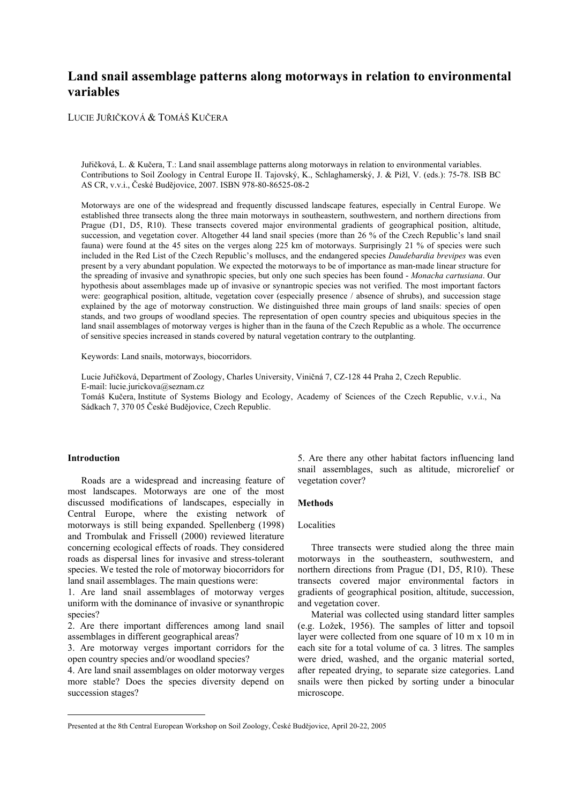# **Land snail assemblage patterns along motorways in relation to environmental variables**

LUCIE JUŘIČKOVÁ & TOMÁŠ KUČERA

Juřičková, L. & Kučera, T.: Land snail assemblage patterns along motorways in relation to environmental variables. Contributions to Soil Zoology in Central Europe II. Tajovský, K., Schlaghamerský, J. & Pižl, V. (eds.): 75-78. ISB BC AS CR, v.v.i., České Budějovice, 2007. ISBN 978-80-86525-08-2

Motorways are one of the widespread and frequently discussed landscape features, especially in Central Europe. We established three transects along the three main motorways in southeastern, southwestern, and northern directions from Prague (D1, D5, R10). These transects covered major environmental gradients of geographical position, altitude, succession, and vegetation cover. Altogether 44 land snail species (more than 26 % of the Czech Republic's land snail fauna) were found at the 45 sites on the verges along 225 km of motorways. Surprisingly 21 % of species were such included in the Red List of the Czech Republic's molluscs, and the endangered species *Daudebardia brevipes* was even present by a very abundant population. We expected the motorways to be of importance as man-made linear structure for the spreading of invasive and synathropic species, but only one such species has been found - *Monacha cartusiana*. Our hypothesis about assemblages made up of invasive or synantropic species was not verified. The most important factors were: geographical position, altitude, vegetation cover (especially presence / absence of shrubs), and succession stage explained by the age of motorway construction. We distinguished three main groups of land snails: species of open stands, and two groups of woodland species. The representation of open country species and ubiquitous species in the land snail assemblages of motorway verges is higher than in the fauna of the Czech Republic as a whole. The occurrence of sensitive species increased in stands covered by natural vegetation contrary to the outplanting.

Keywords: Land snails, motorways, biocorridors.

Lucie Juřičková, Department of Zoology, Charles University, Viničná 7, CZ-128 44 Praha 2, Czech Republic. E-mail: lucie.jurickova@seznam.cz

Tomáš Kučera, Institute of Systems Biology and Ecology, Academy of Sciences of the Czech Republic, v.v.i., Na Sádkach 7, 370 05 České Budějovice, Czech Republic.

## **Introduction**

 $\overline{a}$ 

Roads are a widespread and increasing feature of most landscapes. Motorways are one of the most discussed modifications of landscapes, especially in Central Europe, where the existing network of motorways is still being expanded. Spellenberg (1998) and Trombulak and Frissell (2000) reviewed literature concerning ecological effects of roads. They considered roads as dispersal lines for invasive and stress-tolerant species. We tested the role of motorway biocorridors for land snail assemblages. The main questions were:

1. Are land snail assemblages of motorway verges uniform with the dominance of invasive or synanthropic species?

2. Are there important differences among land snail assemblages in different geographical areas?

3. Are motorway verges important corridors for the open country species and/or woodland species?

4. Are land snail assemblages on older motorway verges more stable? Does the species diversity depend on succession stages?

5. Are there any other habitat factors influencing land snail assemblages, such as altitude, microrelief or vegetation cover?

#### **Methods**

## Localities

Three transects were studied along the three main motorways in the southeastern, southwestern, and northern directions from Prague (D1, D5, R10). These transects covered major environmental factors in gradients of geographical position, altitude, succession, and vegetation cover.

Material was collected using standard litter samples (e.g. Ložek, 1956). The samples of litter and topsoil layer were collected from one square of 10 m x 10 m in each site for a total volume of ca. 3 litres. The samples were dried, washed, and the organic material sorted, after repeated drying, to separate size categories. Land snails were then picked by sorting under a binocular microscope.

Presented at the 8th Central European Workshop on Soil Zoology, České Budějovice, April 20-22, 2005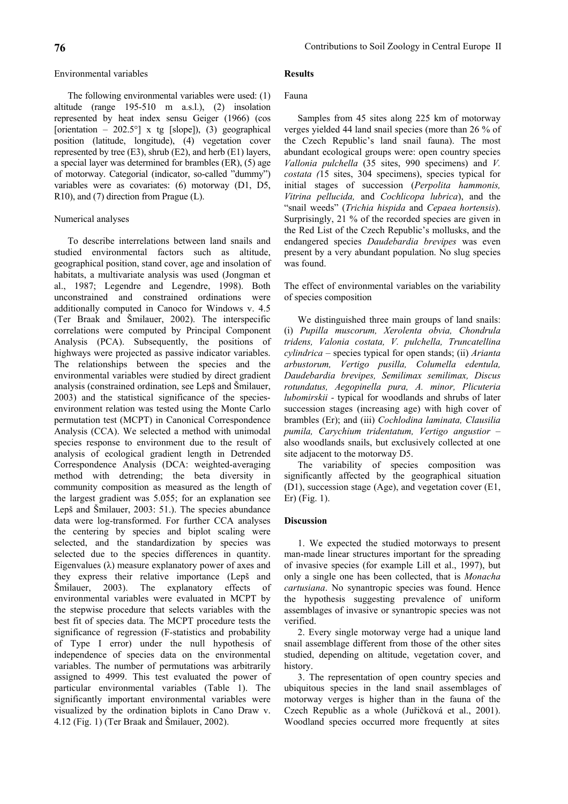The following environmental variables were used: (1) altitude (range 195-510 m a.s.l.), (2) insolation represented by heat index sensu Geiger (1966) (cos [orientation – 202.5°] x tg [slope]), (3) geographical position (latitude, longitude), (4) vegetation cover represented by tree  $(E3)$ , shrub  $(E2)$ , and herb  $(E1)$  layers, a special layer was determined for brambles (ER), (5) age of motorway. Categorial (indicator, so-called "dummy") variables were as covariates: (6) motorway (D1, D5, R10), and (7) direction from Prague (L).

## Numerical analyses

To describe interrelations between land snails and studied environmental factors such as altitude, geographical position, stand cover, age and insolation of habitats, a multivariate analysis was used (Jongman et al., 1987; Legendre and Legendre, 1998). Both unconstrained and constrained ordinations were additionally computed in Canoco for Windows v. 4.5 (Ter Braak and Šmilauer, 2002). The interspecific correlations were computed by Principal Component Analysis (PCA). Subsequently, the positions of highways were projected as passive indicator variables. The relationships between the species and the environmental variables were studied by direct gradient analysis (constrained ordination, see Lepš and Šmilauer, 2003) and the statistical significance of the speciesenvironment relation was tested using the Monte Carlo permutation test (MCPT) in Canonical Correspondence Analysis (CCA). We selected a method with unimodal species response to environment due to the result of analysis of ecological gradient length in Detrended Correspondence Analysis (DCA: weighted-averaging method with detrending; the beta diversity in community composition as measured as the length of the largest gradient was 5.055; for an explanation see Lepš and Šmilauer, 2003: 51.). The species abundance data were log-transformed. For further CCA analyses the centering by species and biplot scaling were selected, and the standardization by species was selected due to the species differences in quantity. Eigenvalues  $(\lambda)$  measure explanatory power of axes and they express their relative importance (Lepš and Šmilauer, 2003). The explanatory effects of environmental variables were evaluated in MCPT by the stepwise procedure that selects variables with the best fit of species data. The MCPT procedure tests the significance of regression (F-statistics and probability of Type I error) under the null hypothesis of independence of species data on the environmental variables. The number of permutations was arbitrarily assigned to 4999. This test evaluated the power of particular environmental variables (Table 1). The significantly important environmental variables were visualized by the ordination biplots in Cano Draw v. 4.12 (Fig. 1) (Ter Braak and Šmilauer, 2002).

#### **Results**

#### Fauna

Samples from 45 sites along 225 km of motorway verges yielded 44 land snail species (more than 26 % of the Czech Republic's land snail fauna). The most abundant ecological groups were: open country species *Vallonia pulchella* (35 sites, 990 specimens) and *V. costata (*15 sites, 304 specimens), species typical for initial stages of succession (*Perpolita hammonis, Vitrina pellucida,* and *Cochlicopa lubrica*), and the "snail weeds" (*Trichia hispida* and *Cepaea hortensis*). Surprisingly, 21 % of the recorded species are given in the Red List of the Czech Republic's mollusks, and the endangered species *Daudebardia brevipes* was even present by a very abundant population. No slug species was found.

The effect of environmental variables on the variability of species composition

We distinguished three main groups of land snails: (i) *Pupilla muscorum, Xerolenta obvia, Chondrula tridens, Valonia costata, V. pulchella, Truncatellina cylindrica* – species typical for open stands; (ii) *Arianta arbustorum, Vertigo pusilla, Columella edentula, Daudebardia brevipes, Semilimax semilimax, Discus rotundatus, Aegopinella pura, A. minor, Plicuteria lubomirskii -* typical for woodlands and shrubs of later succession stages (increasing age) with high cover of brambles (Er); and (iii) *Cochlodina laminata, Clausilia pumila, Carychium tridentatum, Vertigo angustior* – also woodlands snails, but exclusively collected at one site adjacent to the motorway D5.

The variability of species composition was significantly affected by the geographical situation (D1), succession stage (Age), and vegetation cover (E1, Er) (Fig. 1).

## **Discussion**

1. We expected the studied motorways to present man-made linear structures important for the spreading of invasive species (for example Lill et al., 1997), but only a single one has been collected, that is *Monacha cartusiana*. No synantropic species was found. Hence the hypothesis suggesting prevalence of uniform assemblages of invasive or synantropic species was not verified.

2. Every single motorway verge had a unique land snail assemblage different from those of the other sites studied, depending on altitude, vegetation cover, and history.

3. The representation of open country species and ubiquitous species in the land snail assemblages of motorway verges is higher than in the fauna of the Czech Republic as a whole (Juřičková et al., 2001). Woodland species occurred more frequently at sites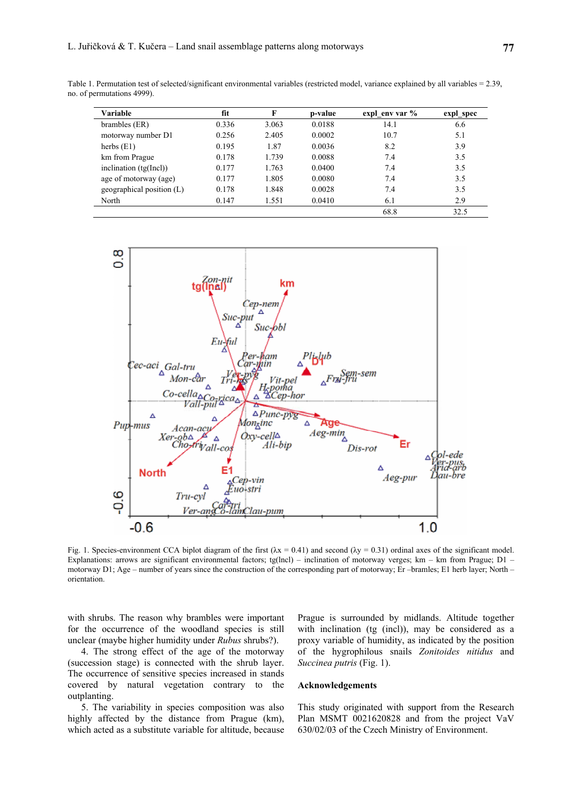Table 1. Permutation test of selected/significant environmental variables (restricted model, variance explained by all variables = 2.39, no. of permutations 4999).

| Variable                    | fit   | F     | p-value | expl env var % | expl_spec |
|-----------------------------|-------|-------|---------|----------------|-----------|
| brambles (ER)               | 0.336 | 3.063 | 0.0188  | 14.1           | 6.6       |
| motorway number D1          | 0.256 | 2.405 | 0.0002  | 10.7           | 5.1       |
| herbs $(E1)$                | 0.195 | 1.87  | 0.0036  | 8.2            | 3.9       |
| km from Prague              | 0.178 | 1.739 | 0.0088  | 7.4            | 3.5       |
| inclination $(tg(Incl))$    | 0.177 | 1.763 | 0.0400  | 7.4            | 3.5       |
| age of motorway (age)       | 0.177 | 1.805 | 0.0080  | 7.4            | 3.5       |
| geographical position $(L)$ | 0.178 | 1.848 | 0.0028  | 7.4            | 3.5       |
| North                       | 0.147 | 1.551 | 0.0410  | 6.1            | 2.9       |
|                             |       |       |         | 68.8           | 32.5      |



Fig. 1. Species-environment CCA biplot diagram of the first  $(\lambda x = 0.41)$  and second  $(\lambda y = 0.31)$  ordinal axes of the significant model. Explanations: arrows are significant environmental factors; tg(lncl) – inclination of motorway verges; km – km from Prague; D1 – motorway D1; Age – number of years since the construction of the corresponding part of motorway; Er –bramles; E1 herb layer; North – orientation.

with shrubs. The reason why brambles were important for the occurrence of the woodland species is still unclear (maybe higher humidity under *Rubus* shrubs?).

4. The strong effect of the age of the motorway (succession stage) is connected with the shrub layer. The occurrence of sensitive species increased in stands covered by natural vegetation contrary to the outplanting.

5. The variability in species composition was also highly affected by the distance from Prague (km), which acted as a substitute variable for altitude, because Prague is surrounded by midlands. Altitude together with inclination (tg (incl)), may be considered as a proxy variable of humidity, as indicated by the position of the hygrophilous snails *Zonitoides nitidus* and *Succinea putris* (Fig. 1).

### **Acknowledgements**

This study originated with support from the Research Plan MSMT 0021620828 and from the project VaV 630/02/03 of the Czech Ministry of Environment.